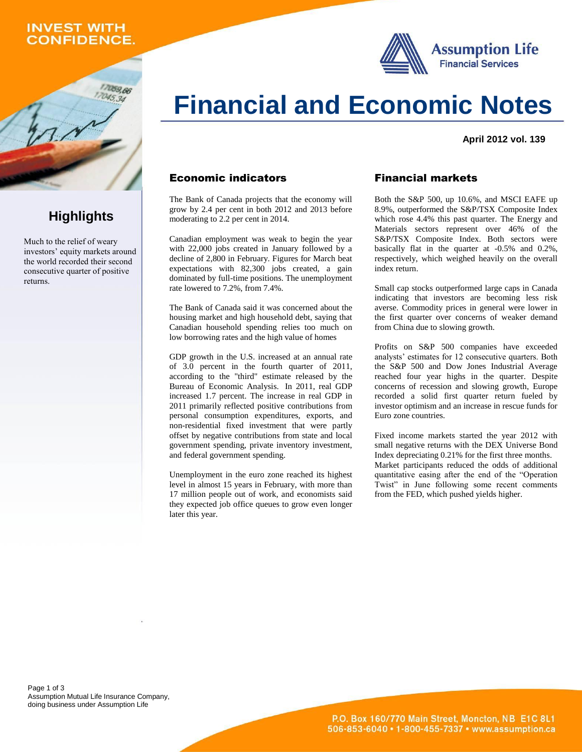# **INVEST WITH ONFIDENCE.**

059,66





**April 2012 vol. 139**

### Economic indicators

The Bank of Canada projects that the economy will grow by 2.4 per cent in both 2012 and 2013 before moderating to 2.2 per cent in 2014.

Canadian employment was weak to begin the year with 22,000 jobs created in January followed by a decline of 2,800 in February. Figures for March beat expectations with 82,300 jobs created, a gain dominated by full-time positions. The unemployment rate lowered to 7.2%, from 7.4%.

The Bank of Canada said it was concerned about the housing market and high household debt, saying that Canadian household spending relies too much on low borrowing rates and the high value of homes

GDP growth in the U.S. increased at an annual rate of 3.0 percent in the fourth quarter of 2011, according to the "third" estimate released by the Bureau of Economic Analysis. In 2011, real GDP increased 1.7 percent. The increase in real GDP in 2011 primarily reflected positive contributions from personal consumption expenditures, exports, and non-residential fixed investment that were partly offset by negative contributions from state and local government spending, private inventory investment, and federal government spending.

Unemployment in the euro zone reached its highest level in almost 15 years in February, with more than 17 million people out of work, and economists said they expected job office queues to grow even longer later this year.

### Financial markets

Both the S&P 500, up 10.6%, and MSCI EAFE up 8.9%, outperformed the S&P/TSX Composite Index which rose 4.4% this past quarter. The Energy and Materials sectors represent over 46% of the S&P/TSX Composite Index. Both sectors were basically flat in the quarter at -0.5% and 0.2%, respectively, which weighed heavily on the overall index return.

Small cap stocks outperformed large caps in Canada indicating that investors are becoming less risk averse. Commodity prices in general were lower in the first quarter over concerns of weaker demand from China due to slowing growth.

Profits on S&P 500 companies have exceeded analysts' estimates for 12 consecutive quarters. Both the S&P 500 and Dow Jones Industrial Average reached four year highs in the quarter. Despite concerns of recession and slowing growth, Europe recorded a solid first quarter return fueled by investor optimism and an increase in rescue funds for Euro zone countries.

Fixed income markets started the year 2012 with small negative returns with the DEX Universe Bond Index depreciating 0.21% for the first three months. Market participants reduced the odds of additional quantitative easing after the end of the "Operation Twist" in June following some recent comments from the FED, which pushed yields higher.

Page 1 of 3 Assumption Mutual Life Insurance Company, doing business under Assumption Life

# **Highlights**

Much to the relief of weary investors' equity markets around the world recorded their second consecutive quarter of positive returns.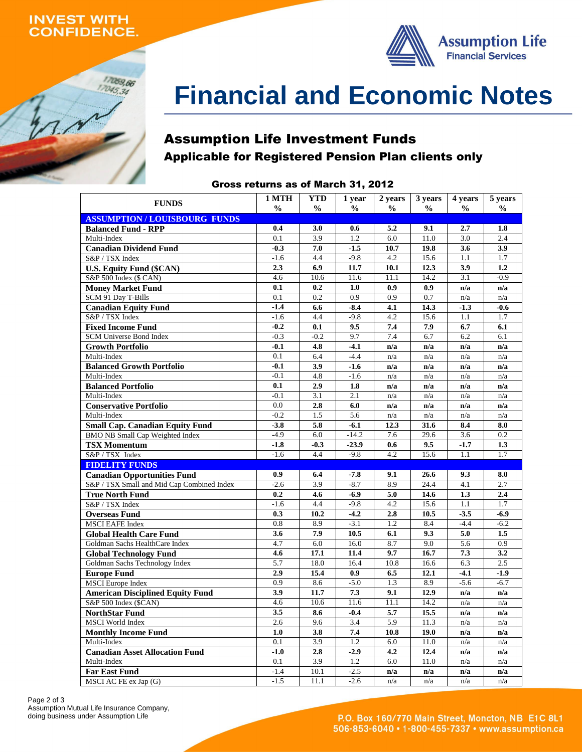# **INVEST WITH ONFIDENCE.**

17059,66  $17045,34$ 



# **Financial and Economic Notes**

# Assumption Life Investment Funds Applicable for Registered Pension Plan clients only

#### Gross returns as of March 31, 2012

| <b>FUNDS</b>                                         | 1 MTH            | <b>YTD</b>       | 1 year           | 2 years          | 3 years          | 4 years          | 5 years    |
|------------------------------------------------------|------------------|------------------|------------------|------------------|------------------|------------------|------------|
| <b>ASSUMPTION/LOUISBOURG FUNDS</b>                   | $\frac{0}{0}$    | $\frac{0}{0}$    | $\frac{0}{0}$    | $\frac{1}{2}$    | $\frac{0}{0}$    | $\frac{0}{0}$    | $\%$       |
| <b>Balanced Fund - RPP</b>                           | 0.4              | 3.0              | 0.6              | 5.2              | 9.1              | 2.7              | 1.8        |
| Multi-Index                                          | 0.1              | 3.9              | 1.2              | 6.0              | 11.0             | 3.0              | 2.4        |
| <b>Canadian Dividend Fund</b>                        | $-0.3$           | 7.0              | $-1.5$           | 10.7             | 19.8             | 3.6              | 3.9        |
| S&P / TSX Index                                      | $-1.6$           | 4.4              | $-9.8$           | 4.2              | 15.6             | 1.1              | 1.7        |
| <b>U.S. Equity Fund (\$CAN)</b>                      | 2.3              | 6.9              | 11.7             | 10.1             | 12.3             | 3.9              | 1.2        |
| S&P 500 Index (\$ CAN)                               | 4.6              | 10.6             | 11.6             | 11.1             | 14.2             | $\overline{3.1}$ | $-0.9$     |
| <b>Money Market Fund</b>                             | 0.1              | 0.2              | 1.0              | 0.9              | 0.9              | n/a              | n/a        |
| SCM 91 Day T-Bills                                   | $\overline{0.1}$ | $\overline{0.2}$ | $\overline{0.9}$ | $\overline{0.9}$ | $\overline{0.7}$ | n/a              | n/a        |
| <b>Canadian Equity Fund</b>                          | $-1.4$           | 6.6              | $-8.4$           | 4.1              | 14.3             | $-1.3$           | $-0.6$     |
| S&P / TSX Index                                      | $-1.6$           | 4.4              | $-9.8$           | 4.2              | 15.6             | 1.1              | 1.7        |
| <b>Fixed Income Fund</b>                             | $-0.2$           | 0.1              | 9.5              | 7.4              | 7.9              | 6.7              | 6.1        |
| SCM Universe Bond Index                              | $-0.3$           | $-0.2$           | 9.7              | 7.4              | 6.7              | 6.2              | 6.1        |
| <b>Growth Portfolio</b>                              | $-0.1$           | 4.8              | $-4.1$           | n/a              | n/a              | n/a              | n/a        |
| Multi-Index                                          | 0.1              | 6.4              | $-4.4$           | n/a              | n/a              | n/a              | n/a        |
| <b>Balanced Growth Portfolio</b>                     | $-0.1$           | 3.9              | $-1.6$           | n/a              | n/a              | n/a              | n/a        |
| Multi-Index                                          | $-0.1$           | 4.8              | $-1.6$           | n/a              | n/a              | n/a              | n/a        |
| <b>Balanced Portfolio</b>                            | 0.1              | 2.9              | 1.8              | n/a              | n/a              | n/a              | n/a        |
| Multi-Index                                          | $-0.1$           | 3.1              | 2.1              | n/a              | n/a              | n/a              | n/a        |
| <b>Conservative Portfolio</b>                        | 0.0              | 2.8              | 6.0              | n/a              | n/a              | n/a              | n/a        |
| Multi-Index                                          | $-0.2$           | 1.5              | 5.6              | n/a              | n/a              | n/a              | n/a        |
| <b>Small Cap. Canadian Equity Fund</b>               | $-3.8$           | 5.8              | $-6.1$           | 12.3             | 31.6             | 8.4              | 8.0        |
| <b>BMO NB Small Cap Weighted Index</b>               | $-4.9$           | 6.0              | $-14.2$          | 7.6              | 29.6             | 3.6              | 0.2        |
| <b>TSX Momentum</b>                                  | $-1.8$           | $-0.3$           | $-23.9$          | 0.6              | 9.5              | $-1.7$           | 1.3        |
| S&P / TSX Index                                      | $-1.6$           | 4.4              | $-9.8$           | 4.2              | 15.6             | 1.1              | 1.7        |
| <b>FIDELITY FUNDS</b>                                |                  |                  |                  |                  |                  |                  |            |
| <b>Canadian Opportunities Fund</b>                   | 0.9              | 6.4              | $-7.8$           | 9.1              | 26.6             | 9.3              | 8.0        |
| S&P / TSX Small and Mid Cap Combined Index           | $-2.6$           | 3.9              | $-8.7$           | 8.9              | 24.4             | 4.1              | 2.7        |
| <b>True North Fund</b>                               | 0.2              | 4.6              | $-6.9$           | 5.0              | 14.6             | 1.3              | 2.4        |
| S&P / TSX Index                                      | $-1.6$           | 4.4              | $-9.8$           | 4.2              | 15.6             | 1.1              | 1.7        |
| <b>Overseas Fund</b>                                 | 0.3              | 10.2             | $-4.2$           | 2.8              | 10.5             | $-3.5$           | $-6.9$     |
| <b>MSCI EAFE Index</b>                               | 0.8              | 8.9              | $-3.1$           | 1.2              | 8.4              | $-4.4$           | $-6.2$     |
| <b>Global Health Care Fund</b>                       | 3.6              | 7.9              | 10.5             | 6.1              | 9.3              | 5.0              | 1.5        |
| Goldman Sachs HealthCare Index                       | 4.7              | 6.0              | 16.0             | 8.7              | 9.0              | 5.6              | 0.9        |
| <b>Global Technology Fund</b>                        | 4.6              | 17.1             | 11.4             | 9.7              | 16.7             | 7.3              | 3.2        |
| Goldman Sachs Technology Index                       | 5.7              | 18.0             | 16.4             | 10.8             | 16.6             | 6.3              | 2.5        |
| <b>Europe Fund</b>                                   | 2.9              | 15.4             | 0.9              | 6.5              | 12.1             | $-4.1$           | $-1.9$     |
| <b>MSCI</b> Europe Index                             | $\overline{0.9}$ | 8.6              | $-5.0$           | 1.3              | 8.9              | $-5.6$           | $-6.7$     |
| <b>American Disciplined Equity Fund</b>              | 3.9              | 11.7             | 7.3              | 9.1              | 12.9             | n/a              | n/a        |
| S&P 500 Index (\$CAN)                                | 4.6              | 10.6             | 11.6             | 11.1             | 14.2             | n/a              | n/a        |
| <b>NorthStar Fund</b>                                | 3.5              | 8.6              | $-0.4$           | 5.7              | 15.5             | n/a              | n/a        |
| <b>MSCI</b> World Index                              | 2.6<br>1.0       | 9.6<br>3.8       | 3.4<br>7.4       | 5.9<br>10.8      | 11.3<br>19.0     | n/a              | n/a        |
| <b>Monthly Income Fund</b><br>Multi-Index            | 0.1              | 3.9              | 1.2              | 6.0              | 11.0             | n/a              | n/a        |
|                                                      | $-1.0$           | 2.8              | $-2.9$           | 4.2              | 12.4             | n/a<br>n/a       | n/a<br>n/a |
| <b>Canadian Asset Allocation Fund</b><br>Multi-Index | 0.1              | 3.9              | 1.2              | 6.0              | 11.0             | n/a              | n/a        |
| <b>Far East Fund</b>                                 | $-1.4$           | 10.1             | $-2.5$           | n/a              | n/a              | n/a              | n/a        |
| MSCI AC FE ex Jap (G)                                | $-1.5$           | 11.1             | $-2.6$           | n/a              | n/a              | n/a              | n/a        |